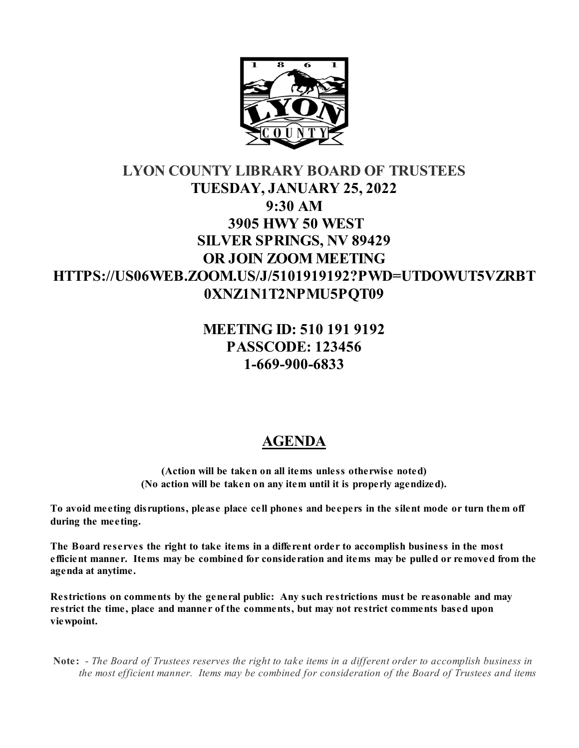

# **LYON COUNTY LIBRARY BOARD OF TRUSTEES TUESDAY, JANUARY 25, 2022 9:30 AM 3905 HWY 50 WEST SILVER SPRINGS, NV 89429 OR JOIN ZOOM MEETING HTTPS://US06WEB.ZOOM.US/J/5101919192?PWD=UTDOWUT5VZRBT 0XNZ1N1T2NPMU5PQT09**

## **MEETING ID: 510 191 9192 PASSCODE: 123456 1-669-900-6833**

## **AGENDA**

**(Action will be taken on all items unless otherwise noted) (No action will be taken on any item until it is properly agendized).**

**To avoid meeting disruptions, please place cell phones and beepers in the silent mode or turn them off during the meeting.**

**The Board reserves the right to take items in a different order to accomplish business in the most efficient manner. Items may be combined for consideration and items may be pulled or removed from the agenda at anytime.** 

**Restrictions on comments by the general public: Any such restrictions must be reasonable and may restrict the time, place and manner of the comments, but may not restrict comments based upon viewpoint.**

 **Note:** - *The Board of Trustees reserves the right to take items in a different order to accomplish business in the most efficient manner. Items may be combined for consideration of the Board of Trustees and items*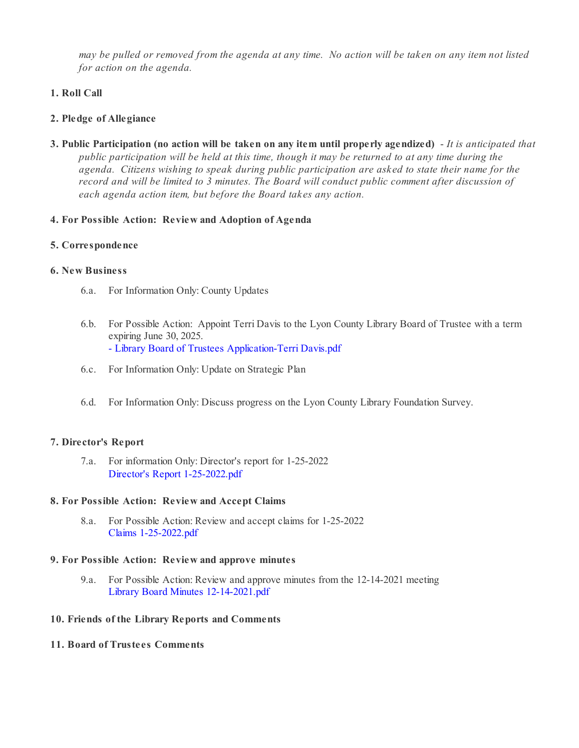*may be pulled or removed from the agenda at any time. No action will be taken on any item not listed for action on the agenda.*

## **1. Roll Call**

## **2. Pledge of Allegiance**

**3. Public Participation (no action will be taken on any item until properly agendized)** - *It is anticipated that public participation will be held at this time, though it may be returned to at any time during the agenda. Citizens wishing to speak during public participation are asked to state their name for the record and will be limited to 3 minutes. The Board will conduct public comment after discussion of each agenda action item, but before the Board takes any action.*

### **4. For Possible Action: Review and Adoption of Agenda**

### **5. Correspondence**

## **6. New Business**

- 6.a. For Information Only: County Updates
- 6.b. For Possible Action: Appoint Terri Davis to the Lyon County Library Board of Trustee with a term expiring June 30, 2025. [- Library Board of Trustees Application-Terri Davis.pdf](https://legistarweb-production.s3.amazonaws.com/uploads/attachment/pdf/1190677/-_Library_Board_of_Trustees_Application-Terri_Davis.pdf)
- 6.c. For Information Only: Update on Strategic Plan
- 6.d. For Information Only: Discuss progress on the Lyon County Library Foundation Survey.

## **7. Director's Report**

7.a. For information Only: Director's report for 1-25-2022 [Director's Report 1-25-2022.pdf](https://legistarweb-production.s3.amazonaws.com/uploads/attachment/pdf/1210347/Director_s_Report_1-25-2022.pdf)

#### **8. For Possible Action: Review and Accept Claims**

8.a. For Possible Action: Review and accept claims for 1-25-2022 [Claims 1-25-2022.pdf](https://legistarweb-production.s3.amazonaws.com/uploads/attachment/pdf/1210346/Claims_1-25-2022.pdf)

#### **9. For Possible Action: Review and approve minutes**

9.a. For Possible Action: Review and approve minutes from the 12-14-2021 meeting [Library Board Minutes 12-14-2021.pdf](https://legistarweb-production.s3.amazonaws.com/uploads/attachment/pdf/1210345/Library_Board_Minutes_12-14-2021.pdf)

#### **10. Friends of the Library Reports and Comments**

#### **11. Board of Trustees Comments**